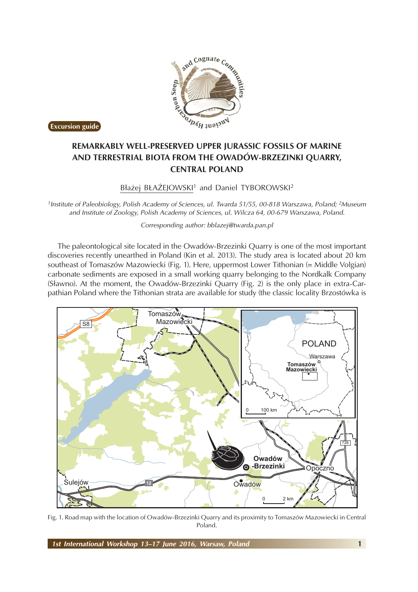

**Excursion guide**

## **AND TERRESTRIAL BIOTA FROM THE OWADÓW-BRZEZINKI QUARRY, CENTRAL POLAND**

Błażej BŁAŻEJOWSKI<sup>1</sup> and Daniel TYBOROWSKI<sup>2</sup>

*1Institute of Paleobiology, Polish Academy of Sciences, ul. Twarda 51/55, 00-818 Warszawa, Poland; 2Museum and Institute of Zoology, Polish Academy of Sciences, ul. Wilcza 64, 00-679 Warszawa, Poland.*

*Corresponding author: bblazej@twarda.pan.pl*

The paleontological site located in the Owadów-Brzezinki Quarry is one of the most important discoveries recently unearthed in Poland (Kin et al. 2013). The study area is located about 20 km southeast of Tomaszów Mazowiecki (Fig. 1). Here, uppermost Lower Tithonian (= Middle Volgian) carbonate sediments are exposed in a small working quarry belonging to the Nordkalk Company (Sławno). At the moment, the Owadów-Brzezinki Quarry (Fig. 2) is the only place in extra-Carpathian Poland where the Tithonian strata are available for study (the classic locality Brzostówka is



Fig. 1. Road map with the location of Owadów-Brzezinki Quarry and its proximity to Tomaszów Mazowiecki in Central Poland.

*1st International Workshop 13–17 June 2016, Warsaw, Poland* **1**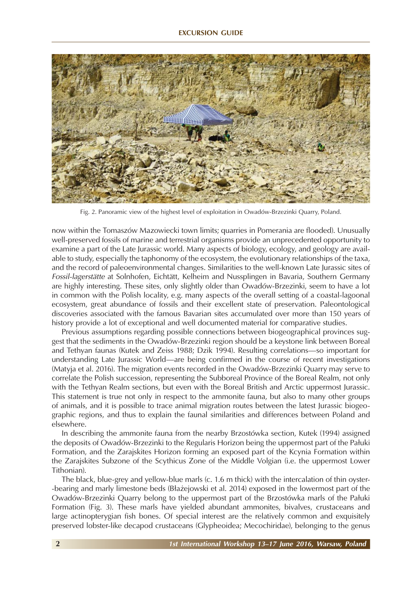

Fig. 2. Panoramic view of the highest level of exploitation in Owadów-Brzezinki Quarry, Poland.

now within the Tomaszów Mazowiecki town limits; quarries in Pomerania are flooded). Unusually well-preserved fossils of marine and terrestrial organisms provide an unprecedented opportunity to examine a part of the Late Jurassic world. Many aspects of biology, ecology, and geology are available to study, especially the taphonomy of the ecosystem, the evolutionary relationships of the taxa, and the record of paleoenvironmental changes*.* Similarities to the well-known Late Jurassic sites of *Fossil-lagerstätte* at Solnhofen, Eichtätt, Kelheim and Nussplingen in Bavaria, Southern Germany are highly interesting. These sites, only slightly older than Owadów-Brzezinki, seem to have a lot in common with the Polish locality, e.g. many aspects of the overall setting of a coastal-lagoonal ecosystem, great abundance of fossils and their excellent state of preservation. Paleontological discoveries associated with the famous Bavarian sites accumulated over more than 150 years of history provide a lot of exceptional and well documented material for comparative studies.

Previous assumptions regarding possible connections between biogeographical provinces suggest that the sediments in the Owadów-Brzezinki region should be a keystone link between Boreal and Tethyan faunas (Kutek and Zeiss 1988; Dzik 1994). Resulting correlations—so important for understanding Late Jurassic World—are being confirmed in the course of recent investigations (Matyja et al. 2016). The migration events recorded in the Owadów-Brzezinki Quarry may serve to correlate the Polish succession, representing the Subboreal Province of the Boreal Realm, not only with the Tethyan Realm sections, but even with the Boreal British and Arctic uppermost Jurassic. This statement is true not only in respect to the ammonite fauna, but also to many other groups of animals, and it is possible to trace animal migration routes between the latest Jurassic biogeographic regions, and thus to explain the faunal similarities and differences between Poland and elsewhere.

In describing the ammonite fauna from the nearby Brzostówka section, Kutek (1994) assigned the deposits of Owadów-Brzezinki to the Regularis Horizon being the uppermost part of the Pałuki Formation, and the Zarajskites Horizon forming an exposed part of the Kcynia Formation within the Zarajskites Subzone of the Scythicus Zone of the Middle Volgian (i.e. the uppermost Lower Tithonian).

The black, blue-grey and yellow-blue marls (c. 1.6 m thick) with the intercalation of thin oyster--bearing and marly limestone beds (Błażejowski et al. 2014) exposed in the lowermost part of the Owadów-Brzezinki Quarry belong to the uppermost part of the Brzostówka marls of the Pałuki Formation (Fig. 3). These marls have yielded abundant ammonites, bivalves, crustaceans and large actinopterygian fish bones. Of special interest are the relatively common and exquisitely preserved lobster-like decapod crustaceans (Glypheoidea; Mecochiridae), belonging to the genus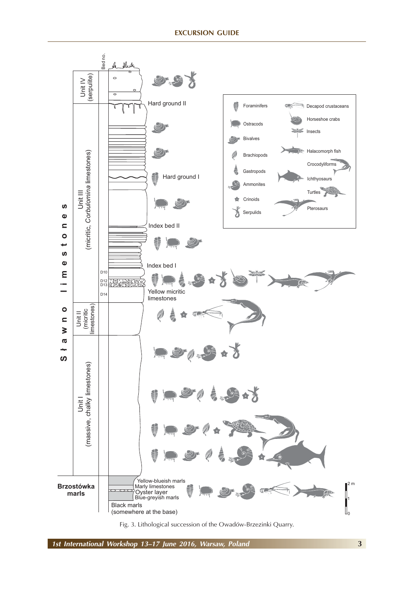

Fig. 3. Lithological succession of the Owadów-Brzezinki Quarry.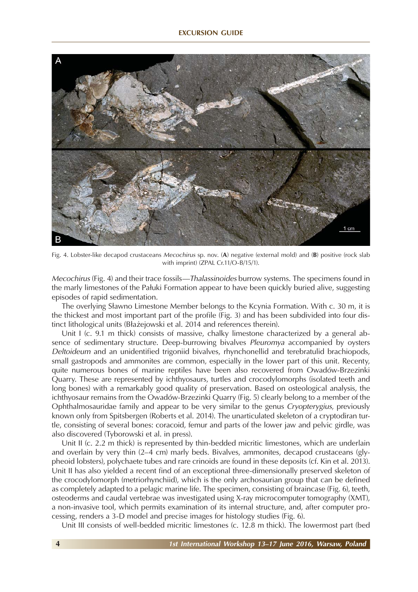

Fig. 4. Lobster-like decapod crustaceans *Mecochirus* sp. nov. (**A**) negative (external mold) and (**B**) positive (rock slab with imprint) (ZPAL Cr.11/O-B/15/1).

*Mecochirus* (Fig. 4) and their trace fossils*—Thalassinoides* burrow systems. The specimens found in the marly limestones of the Pałuki Formation appear to have been quickly buried alive, suggesting episodes of rapid sedimentation.

The overlying Sławno Limestone Member belongs to the Kcynia Formation. With c. 30 m, it is the thickest and most important part of the profile (Fig. 3) and has been subdivided into four distinct lithological units (Błażejowski et al. 2014 and references therein).

Unit I (c. 9.1 m thick) consists of massive, chalky limestone characterized by a general absence of sedimentary structure. Deep-burrowing bivalves *Pleuromya* accompanied by oysters *Deltoideum* and an unidentified trigoniid bivalves, rhynchonellid and terebratulid brachiopods, small gastropods and ammonites are common, especially in the lower part of this unit. Recenty, quite numerous bones of marine reptiles have been also recovered from Owadów-Brzezinki Quarry. These are represented by ichthyosaurs, turtles and crocodylomorphs (isolated teeth and long bones) with a remarkably good quality of preservation. Based on osteological analysis, the ichthyosaur remains from the Owadów-Brzezinki Quarry (Fig. 5) clearly belong to a member of the Ophthalmosauridae family and appear to be very similar to the genus *Cryopterygius*, previously known only from Spitsbergen (Roberts et al. 2014). The unarticulated skeleton of a cryptodiran turtle, consisting of several bones: coracoid, femur and parts of the lower jaw and pelvic girdle, was also discovered (Tyborowski et al. in press).

Unit II (c. 2.2 m thick) is represented by thin-bedded micritic limestones, which are underlain and overlain by very thin (2–4 cm) marly beds. Bivalves, ammonites, decapod crustaceans (glypheoid lobsters), polychaete tubes and rare crinoids are found in these deposits (cf. Kin et al. 2013). Unit II has also yielded a recent find of an exceptional three-dimensionally preserved skeleton of the crocodylomorph (metriorhynchiid), which is the only archosaurian group that can be defined as completely adapted to a pelagic marine life. The specimen, consisting of braincase (Fig. 6), teeth, osteoderms and caudal vertebrae was investigated using X-ray microcomputer tomography (XMT), a non-invasive tool, which permits examination of its internal structure, and, after computer processing, renders a 3-D model and precise images for histology studies (Fig. 6).

Unit III consists of well-bedded micritic limestones (c. 12.8 m thick). The lowermost part (bed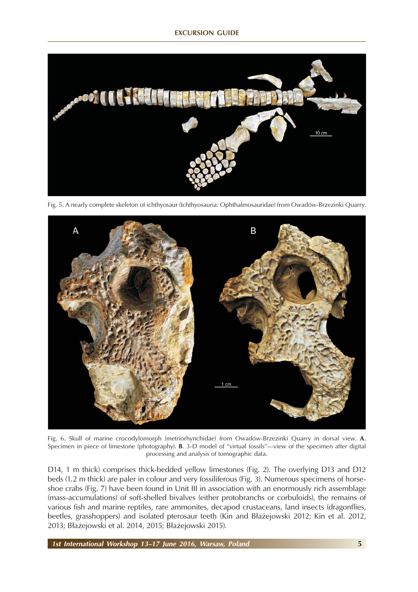

Fig. 5. A nearly complete skeleton of ichthyosaur (Ichthyosauria: Ophthalmosauridae) from Owadów-Brzezinki Quarry.



Fig. 6. Skull of marine crocodylomorph (metriorhynchidae) from Owadów-Brzezinki Quarry in dorsal view. **A**. Specimen in piece of limestone (photography). **B**. 3-D model of "virtual fossils"—view of the specimen after digital processing and analysis of tomographic data.

D14, 1 m thick) comprises thick-bedded yellow limestones (Fig. 2). The overlying D13 and D12 beds (1.2 m thick) are paler in colour and very fossiliferous (Fig. 3). Numerous specimens of horseshoe crabs (Fig. 7) have been found in Unit III in association with an enormously rich assemblage (mass-accumulations) of soft-shelled bivalves (either protobranchs or corbuloids), the remains of various fish and marine reptiles, rare ammonites, decapod crustaceans, land insects (dragonflies, beetles, grasshoppers) and isolated pterosaur teeth (Kin and Błażejowski 2012; Kin et al. 2012, 2013; Błażejowski et al. 2014, 2015; Błażejowski 2015).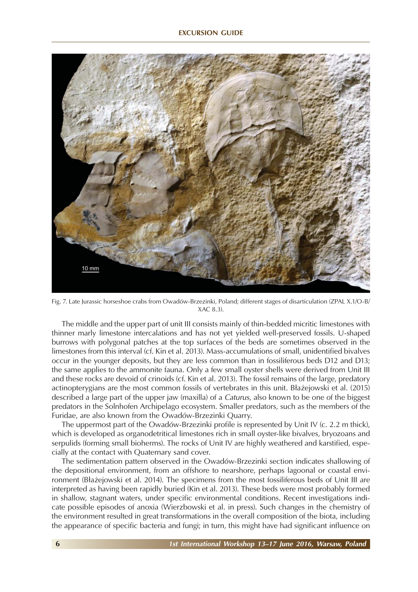

Fig. 7. Late Jurassic horseshoe crabs from Owadów-Brzezinki, Poland; different stages of disarticulation (ZPAL X.1/O-B/ XAC 8.3).

The middle and the upper part of unit III consists mainly of thin-bedded micritic limestones with thinner marly limestone intercalations and has not yet yielded well-preserved fossils. U-shaped burrows with polygonal patches at the top surfaces of the beds are sometimes observed in the limestones from this interval (cf. Kin et al. 2013). Mass-accumulations of small, unidentified bivalves occur in the younger deposits, but they are less common than in fossiliferous beds D12 and D13; the same applies to the ammonite fauna. Only a few small oyster shells were derived from Unit III and these rocks are devoid of crinoids (cf. Kin et al. 2013). The fossil remains of the large, predatory actinopterygians are the most common fossils of vertebrates in this unit. Błażejowski et al. (2015) described a large part of the upper jaw (maxilla) of a *Caturus*, also known to be one of the biggest predators in the Solnhofen Archipelago ecosystem. Smaller predators, such as the members of the Furidae, are also known from the Owadów-Brzezinki Quarry.

The uppermost part of the Owadów-Brzezinki profile is represented by Unit IV (c. 2.2 m thick), which is developed as organodetritical limestones rich in small oyster-like bivalves*,* bryozoans and serpulids (forming small bioherms). The rocks of Unit IV are highly weathered and karstified, especially at the contact with Quaternary sand cover.

The sedimentation pattern observed in the Owadów-Brzezinki section indicates shallowing of the depositional environment, from an offshore to nearshore, perhaps lagoonal or coastal environment (Błażejowski et al. 2014). The specimens from the most fossiliferous beds of Unit III are interpreted as having been rapidly buried (Kin et al. 2013). These beds were most probably formed in shallow, stagnant waters, under specific environmental conditions. Recent investigations indicate possible episodes of anoxia (Wierzbowski et al. in press). Such changes in the chemistry of the environment resulted in great transformations in the overall composition of the biota, including the appearance of specific bacteria and fungi; in turn, this might have had significant influence on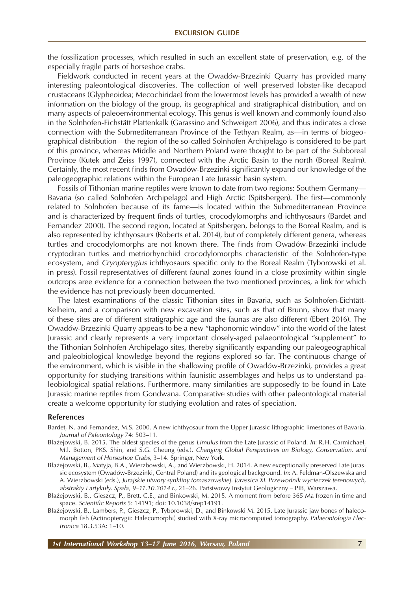the fossilization processes, which resulted in such an excellent state of preservation, e.g. of the especially fragile parts of horseshoe crabs.

Fieldwork conducted in recent years at the Owadów-Brzezinki Quarry has provided many interesting paleontological discoveries. The collection of well preserved lobster-like decapod crustaceans (Glypheoidea; Mecochiridae) from the lowermost levels has provided a wealth of new information on the biology of the group, its geographical and stratigraphical distribution, and on many aspects of paleoenvironmental ecology. This genus is well known and commonly found also in the Solnhofen-Eichstätt Plattenkalk (Garassino and Schweigert 2006), and thus indicates a close connection with the Submediterranean Province of the Tethyan Realm, as—in terms of biogeographical distribution—the region of the so-called Solnhofen Archipelago is considered to be part of this province, whereas Middle and Northern Poland were thought to be part of the Subboreal Province (Kutek and Zeiss 1997), connected with the Arctic Basin to the north (Boreal Realm). Certainly, the most recent finds from Owadów-Brzezinki significantly expand our knowledge of the paleogeographic relations within the European Late Jurassic basin system.

Fossils of Tithonian marine reptiles were known to date from two regions: Southern Germany— Bavaria (so called Solnhofen Archipelago) and High Arctic (Spitsbergen). The first—commonly related to Solnhofen because of its fame—is located within the Submediterranean Province and is characterized by frequent finds of turtles, crocodylomorphs and ichthyosaurs (Bardet and Fernandez 2000). The second region, located at Spitsbergen, belongs to the Boreal Realm, and is also represented by ichthyosaurs (Roberts et al. 2014), but of completely different genera, whereas turtles and crocodylomorphs are not known there. The finds from Owadów-Brzezinki include cryptodiran turtles and metriorhynchiid crocodylomorphs characteristic of the Solnhofen-type ecosystem, and *Cryopterygius* ichthyosaurs specific only to the Boreal Realm (Tyborowski et al. in press). Fossil representatives of different faunal zones found in a close proximity within single outcrops aree evidence for a connection between the two mentioned provinces, a link for which the evidence has not previously been documented.

The latest examinations of the classic Tithonian sites in Bavaria, such as Solnhofen-Eichtätt-Kelheim, and a comparison with new excavation sites, such as that of Brunn, show that many of these sites are of different stratigraphic age and the faunas are also different (Ebert 2016). The Owadów-Brzezinki Quarry appears to be a new "taphonomic window" into the world of the latest Jurassic and clearly represents a very important closely-aged palaeontological "supplement" to the Tithonian Solnhofen Archipelago sites, thereby significantly expanding our paleogeographical and paleobiological knowledge beyond the regions explored so far. The continuous change of the environment, which is visible in the shallowing profile of Owadów-Brzezinki, provides a great opportunity for studying transitions within faunistic assemblages and helps us to understand paleobiological spatial relations. Furthermore, many similarities are supposedly to be found in Late Jurassic marine reptiles from Gondwana. Comparative studies with other paleontological material create a welcome opportunity for studying evolution and rates of speciation.

## **References**

- Bardet, N. and Fernandez, M.S. 2000. A new ichthyosaur from the Upper Jurassic lithographic limestones of Bavaria. *Journal of Paleontology* 74: 503–11.
- Błażejowski, B. 2015. The oldest species of the genus *Limulus* from the Late Jurassic of Poland. *In*: R.H. Carmichael, M.l. Botton, PKS. Shin, and S.G. Cheung (eds.), *Changing Global Perspectives on Biology, Conservation, and Management of Horseshoe Crabs*, 3–14. Springer, New York.
- Błażejowski, B., Matyja, B.A., Wierzbowski, A., and Wierzbowski, H. 2014. A new exceptionally preserved Late Jurassic ecosystem (Owadów-Brzezinki, Central Poland) and its geological background. *In*: A. Feldman-Olszewska and A. Wierzbowski (eds.), *Jurajskie utwory synkliny tomaszowskiej. Jurassica XI. Przewodnik wycieczek terenowych, abstrakty i artykuły. Spała, 9–11.10.2014 r.*, 21–26. Państwowy Instytut Geologiczny – PIB, Warszawa.
- Błażejowski, B., Gieszcz, P., Brett, C.E., and Binkowski, M. 2015. A moment from before 365 Ma frozen in time and space. *Scientific Reports* 5: 14191; doi: 10.1038/srep14191.
- Błażejowski, B., Lambers, P., Gieszcz, P., Tyborowski, D., and Binkowski M. 2015. Late Jurassic jaw bones of halecomorph fish (Actinopterygii: Halecomorphi) studied with X-ray microcomputed tomography. *Palaeontologia Electronica* 18.3.53A: 1–10.

*1st International Workshop 13–17 June 2016, Warsaw, Poland* **7**